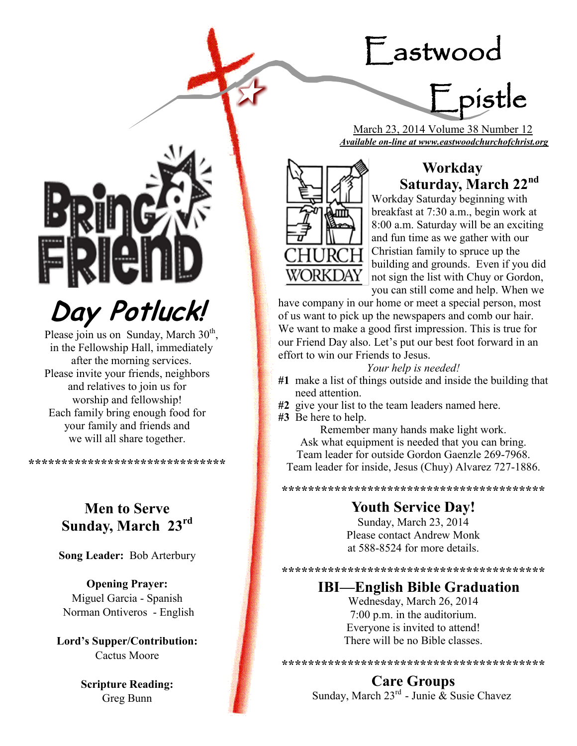# Eastwood

=<br>Epistle

 March 23, 2014 Volume 38 Number 12 *Available on-line at www.eastwoodchurchofchrist.org*



## **Workday Saturday, March 22nd**

Workday Saturday beginning with breakfast at 7:30 a.m., begin work at 8:00 a.m. Saturday will be an exciting and fun time as we gather with our Christian family to spruce up the building and grounds. Even if you did not sign the list with Chuy or Gordon, you can still come and help. When we

have company in our home or meet a special person, most of us want to pick up the newspapers and comb our hair. We want to make a good first impression. This is true for our Friend Day also. Let's put our best foot forward in an effort to win our Friends to Jesus.

#### *Your help is needed!*

- **#1** make a list of things outside and inside the building that need attention.
- **#2** give your list to the team leaders named here.
- **#3** Be here to help.

Remember many hands make light work. Ask what equipment is needed that you can bring. Team leader for outside Gordon Gaenzle 269-7968. Team leader for inside, Jesus (Chuy) Alvarez 727-1886.

**\*\*\*\*\*\*\*\*\*\*\*\*\*\*\*\*\*\*\*\*\*\*\*\*\*\*\*\*\*\*\*\*\*\*\*\*\*\*\*\***

## **Youth Service Day!**

Sunday, March 23, 2014 Please contact Andrew Monk at 588-8524 for more details.

**\*\*\*\*\*\*\*\*\*\*\*\*\*\*\*\*\*\*\*\*\*\*\*\*\*\*\*\*\*\*\*\*\*\*\*\*\*\*\*\***

### **IBI—English Bible Graduation**

Wednesday, March 26, 2014 7:00 p.m. in the auditorium. Everyone is invited to attend! There will be no Bible classes.

**\*\*\*\*\*\*\*\*\*\*\*\*\*\*\*\*\*\*\*\*\*\*\*\*\*\*\*\*\*\*\*\*\*\*\*\*\*\*\*\***

#### **Care Groups**

Sunday, March  $23^{rd}$  - Junie  $\&$  Susie Chavez

**Day Potluck!**

Please join us on Sunday, March 30<sup>th</sup>, in the Fellowship Hall, immediately after the morning services. Please invite your friends, neighbors and relatives to join us for worship and fellowship! Each family bring enough food for your family and friends and we will all share together.

**\*\*\*\*\*\*\*\*\*\*\*\*\*\*\*\*\*\*\*\*\*\*\*\*\*\*\*\*\*\***

## **Men to Serve Sunday, March 23rd**

**Song Leader:** Bob Arterbury

**Opening Prayer:** Miguel Garcia - Spanish Norman Ontiveros - English

**Lord's Supper/Contribution:**  Cactus Moore

> **Scripture Reading:**  Greg Bunn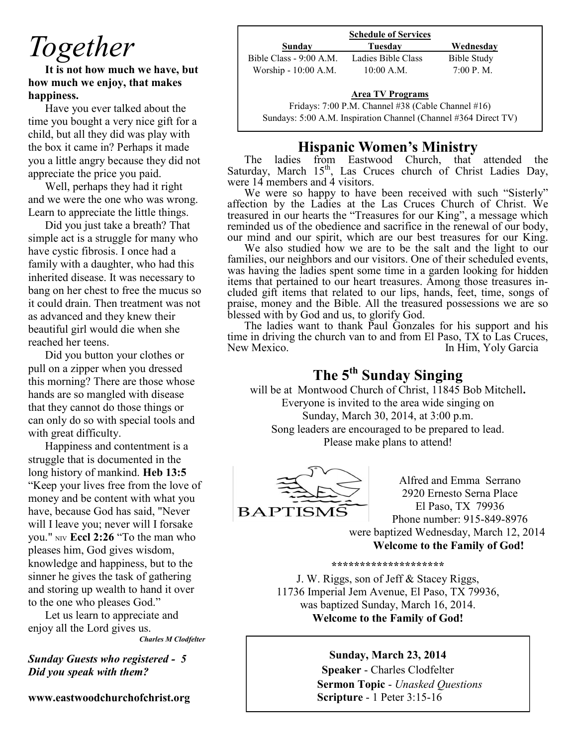## *Together*

**It is not how much we have, but how much we enjoy, that makes happiness.** 

Have you ever talked about the time you bought a very nice gift for a child, but all they did was play with the box it came in? Perhaps it made you a little angry because they did not appreciate the price you paid.

Well, perhaps they had it right and we were the one who was wrong. Learn to appreciate the little things.

Did you just take a breath? That simple act is a struggle for many who have cystic fibrosis. I once had a family with a daughter, who had this inherited disease. It was necessary to bang on her chest to free the mucus so it could drain. Then treatment was not as advanced and they knew their beautiful girl would die when she reached her teens.

Did you button your clothes or pull on a zipper when you dressed this morning? There are those whose hands are so mangled with disease that they cannot do those things or can only do so with special tools and with great difficulty.

Happiness and contentment is a struggle that is documented in the long history of mankind. **Heb 13:5** "Keep your lives free from the love of money and be content with what you have, because God has said, "Never will I leave you; never will I forsake you." NIV **Eccl 2:26** "To the man who pleases him, God gives wisdom, knowledge and happiness, but to the sinner he gives the task of gathering and storing up wealth to hand it over to the one who pleases God."

Let us learn to appreciate and enjoy all the Lord gives us.

*Charles M Clodfelter*

*Sunday Guests who registered - 5 Did you speak with them?*

**www.eastwoodchurchofchrist.org**

|                         | <b>Schedule of Services</b>                        |             |
|-------------------------|----------------------------------------------------|-------------|
| Sunday                  | Tuesdav                                            | Wednesdav   |
| Bible Class - 9:00 A.M. | Ladies Bible Class                                 | Bible Study |
| Worship - 10:00 A.M.    | $10:00$ A.M.                                       | 7:00 P. M.  |
|                         | <b>Area TV Programs</b>                            |             |
|                         | Fridays: 7:00 P.M. Channel #38 (Cable Channel #16) |             |

Sundays: 5:00 A.M. Inspiration Channel (Channel #364 Direct TV)

## **Hispanic Women's Ministry**

The ladies from Eastwood Church, that attended the Saturday, March 15<sup>th</sup>, Las Cruces church of Christ Ladies Day, were 14 members and 4 visitors.

We were so happy to have been received with such "Sisterly" affection by the Ladies at the Las Cruces Church of Christ. We treasured in our hearts the "Treasures for our King", a message which reminded us of the obedience and sacrifice in the renewal of our body, our mind and our spirit, which are our best treasures for our King.

We also studied how we are to be the salt and the light to our families, our neighbors and our visitors. One of their scheduled events, was having the ladies spent some time in a garden looking for hidden items that pertained to our heart treasures. Among those treasures included gift items that related to our lips, hands, feet, time, songs of praise, money and the Bible. All the treasured possessions we are so blessed with by God and us, to glorify God.

The ladies want to thank Paul Gonzales for his support and his time in driving the church van to and from El Paso, TX to Las Cruces, New Mexico. In Him, Yoly Garcia

## **The 5th Sunday Singing**

will be at Montwood Church of Christ, 11845 Bob Mitchell**.**  Everyone is invited to the area wide singing on Sunday, March 30, 2014, at 3:00 p.m. Song leaders are encouraged to be prepared to lead. Please make plans to attend!



Alfred and Emma Serrano 2920 Ernesto Serna Place El Paso, TX 79936 Phone number: 915-849-8976 were baptized Wednesday, March 12, 2014 **Welcome to the Family of God!** 

**\*\*\*\*\*\*\*\*\*\*\*\*\*\*\*\*\*\*\*\***

J. W. Riggs, son of Jeff & Stacey Riggs, 11736 Imperial Jem Avenue, El Paso, TX 79936, was baptized Sunday, March 16, 2014. **Welcome to the Family of God!** 

#### **Sunday, March 23, 2014**

**Speaker** - Charles Clodfelter **Sermon Topic** - *Unasked Questions* **Scripture** - 1 Peter 3:15-16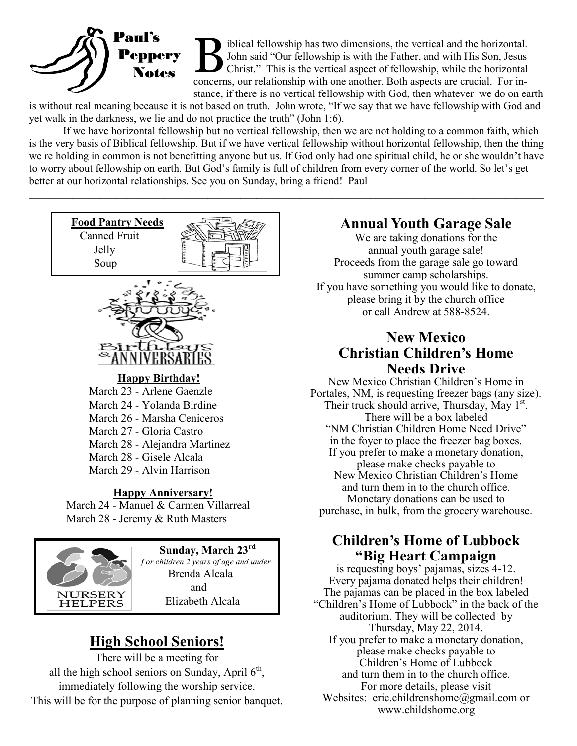

B iblical fellowship has two dimensions, the vertical and the horizontal.<br>John said "Our fellowship is with the Father, and with His Son, Jesus<br>Christ." This is the vertical aspect of fellowship, while the horizontal<br>conce iblical fellowship has two dimensions, the vertical and the horizontal. John said "Our fellowship is with the Father, and with His Son, Jesus Christ." This is the vertical aspect of fellowship, while the horizontal stance, if there is no vertical fellowship with God, then whatever we do on earth

is without real meaning because it is not based on truth. John wrote, "If we say that we have fellowship with God and yet walk in the darkness, we lie and do not practice the truth" (John 1:6).

If we have horizontal fellowship but no vertical fellowship, then we are not holding to a common faith, which is the very basis of Biblical fellowship. But if we have vertical fellowship without horizontal fellowship, then the thing we re holding in common is not benefitting anyone but us. If God only had one spiritual child, he or she wouldn't have to worry about fellowship on earth. But God's family is full of children from every corner of the world. So let's get better at our horizontal relationships. See you on Sunday, bring a friend! Paul

 $\mathcal{L}_\mathcal{L} = \mathcal{L}_\mathcal{L} = \mathcal{L}_\mathcal{L} = \mathcal{L}_\mathcal{L} = \mathcal{L}_\mathcal{L} = \mathcal{L}_\mathcal{L} = \mathcal{L}_\mathcal{L} = \mathcal{L}_\mathcal{L} = \mathcal{L}_\mathcal{L} = \mathcal{L}_\mathcal{L} = \mathcal{L}_\mathcal{L} = \mathcal{L}_\mathcal{L} = \mathcal{L}_\mathcal{L} = \mathcal{L}_\mathcal{L} = \mathcal{L}_\mathcal{L} = \mathcal{L}_\mathcal{L} = \mathcal{L}_\mathcal{L}$ 



Brenda Alcala and Elizabeth Alcala

## **High School Seniors!**

**NURSERY HELPERS** 

There will be a meeting for all the high school seniors on Sunday, April  $6<sup>th</sup>$ , immediately following the worship service. This will be for the purpose of planning senior banquet.

## **Annual Youth Garage Sale**

We are taking donations for the annual youth garage sale! Proceeds from the garage sale go toward summer camp scholarships. If you have something you would like to donate, please bring it by the church office or call Andrew at 588-8524.

### **New Mexico Christian Children's Home Needs Drive**

New Mexico Christian Children's Home in Portales, NM, is requesting freezer bags (any size). Their truck should arrive, Thursday, May 1<sup>st</sup>. There will be a box labeled "NM Christian Children Home Need Drive" in the foyer to place the freezer bag boxes. If you prefer to make a monetary donation, please make checks payable to New Mexico Christian Children's Home and turn them in to the church office. Monetary donations can be used to purchase, in bulk, from the grocery warehouse.

## **Children's Home of Lubbock "Big Heart Campaign**

is requesting boys' pajamas, sizes 4-12. Every pajama donated helps their children! The pajamas can be placed in the box labeled "Children's Home of Lubbock" in the back of the auditorium. They will be collected by Thursday, May 22, 2014. If you prefer to make a monetary donation, please make checks payable to Children's Home of Lubbock and turn them in to the church office. For more details, please visit Websites: eric.childrenshome@gmail.com or www.childshome.org